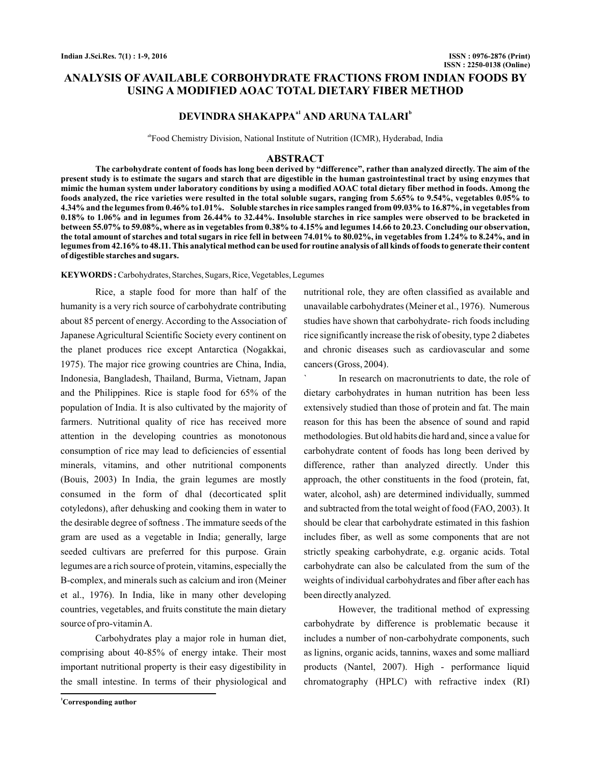# **ANALYSIS OF AVAILABLE CORBOHYDRATE FRACTIONS FROM INDIAN FOODS BY USING A MODIFIED AOAC TOTAL DIETARY FIBER METHOD**

# **DEVINDRA SHAKAPPA<sup>a1</sup> AND ARUNA TALARI<sup>b</sup>**

abFood Chemistry Division, National Institute of Nutrition (ICMR), Hyderabad, India

#### **ABSTRACT**

**The carbohydrate content of foods has long been derived by "difference", rather than analyzed directly. The aim of the present study is to estimate the sugars and starch that are digestible in the human gastrointestinal tract by using enzymes that mimic the human system under laboratory conditions by using a modified AOAC total dietary fiber method in foods. Among the foods analyzed, the rice varieties were resulted in the total soluble sugars, ranging from 5.65% to 9.54%, vegetables 0.05% to 4.34% and the legumes from 0.46% to1.01%. Soluble starches in rice samples ranged from 09.03% to 16.87%, in vegetables from 0.18% to 1.06% and in legumes from 26.44% to 32.44%. Insoluble starches in rice samples were observed to be bracketed in between 55.07% to 59.08%, where as in vegetables from 0.38% to 4.15% and legumes 14.66 to 20.23. Concluding our observation, the total amount of starches and total sugars in rice fell in between 74.01% to 80.02%, in vegetables from 1.24% to 8.24%, and in legumes from 42.16% to 48.11. This analytical method can be used for routine analysis of all kinds of foods to generate their content of digestible starches and sugars.**

KEYWORDS: Carbohydrates, Starches, Sugars, Rice, Vegetables, Legumes

Rice, a staple food for more than half of the humanity is a very rich source of carbohydrate contributing about 85 percent of energy. According to the Association of Japanese Agricultural Scientific Society every continent on the planet produces rice except Antarctica (Nogakkai, 1975). The major rice growing countries are China, India, Indonesia, Bangladesh, Thailand, Burma, Vietnam, Japan and the Philippines. Rice is staple food for 65% of the population of India. It is also cultivated by the majority of farmers. Nutritional quality of rice has received more attention in the developing countries as monotonous consumption of rice may lead to deficiencies of essential minerals, vitamins, and other nutritional components (Bouis, 2003) In India, the grain legumes are mostly consumed in the form of dhal (decorticated split cotyledons), after dehusking and cooking them in water to the desirable degree of softness . The immature seeds of the gram are used as a vegetable in India; generally, large seeded cultivars are preferred for this purpose. Grain legumes are a rich source of protein, vitamins, especially the B-complex, and minerals such as calcium and iron (Meiner et al., 1976). In India, like in many other developing countries, vegetables, and fruits constitute the main dietary source of pro-vitaminA.

Carbohydrates play a major role in human diet, comprising about 40-85% of energy intake. Their most important nutritional property is their easy digestibility in the small intestine. In terms of their physiological and

**<sup>1</sup>Corresponding author**

nutritional role, they are often classified as available and unavailable carbohydrates (Meiner et al., 1976). Numerous studies have shown that carbohydrate- rich foods including rice significantly increase the risk of obesity, type 2 diabetes and chronic diseases such as cardiovascular and some cancers (Gross, 2004).

In research on macronutrients to date, the role of dietary carbohydrates in human nutrition has been less extensively studied than those of protein and fat. The main reason for this has been the absence of sound and rapid methodologies. But old habits die hard and, since a value for carbohydrate content of foods has long been derived by difference, rather than analyzed directly. Under this approach, the other constituents in the food (protein, fat, water, alcohol, ash) are determined individually, summed and subtracted from the total weight of food (FAO, 2003). It should be clear that carbohydrate estimated in this fashion includes fiber, as well as some components that are not strictly speaking carbohydrate, e.g. organic acids. Total carbohydrate can also be calculated from the sum of the weights of individual carbohydrates and fiber after each has been directly analyzed.

However, the traditional method of expressing carbohydrate by difference is problematic because it includes a number of non-carbohydrate components, such as lignins, organic acids, tannins, waxes and some malliard products (Nantel, 2007). High - performance liquid chromatography (HPLC) with refractive index (RI)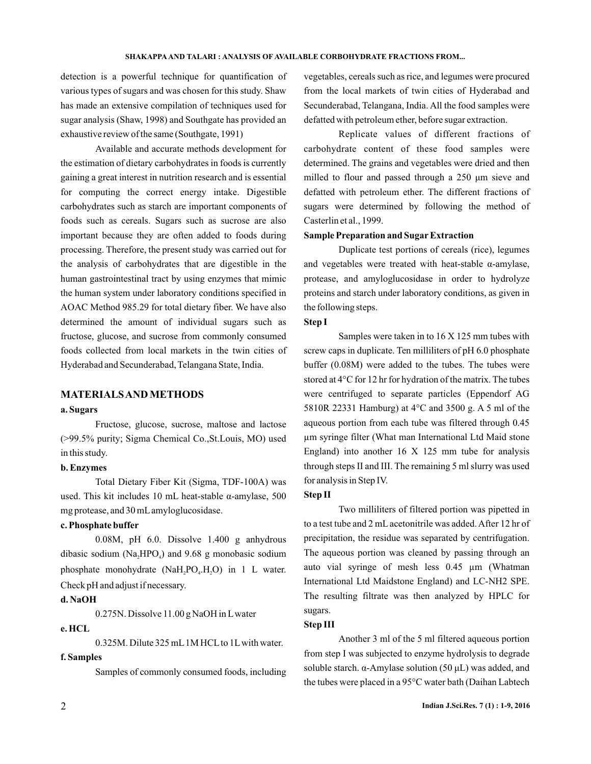#### **SHAKAPPA TALARI AND : ANALYSIS OF AVAILABLE CORBOHYDRATE FRACTIONS FROM...**

detection is a powerful technique for quantification of various types of sugars and was chosen for this study. Shaw has made an extensive compilation of techniques used for sugar analysis (Shaw, 1998) and Southgate has provided an exhaustive review of the same (Southgate, 1991)

Available and accurate methods development for the estimation of dietary carbohydrates in foods is currently gaining a great interest in nutrition research and is essential for computing the correct energy intake. Digestible carbohydrates such as starch are important components of foods such as cereals. Sugars such as sucrose are also important because they are often added to foods during processing. Therefore, the present study was carried out for the analysis of carbohydrates that are digestible in the human gastrointestinal tract by using enzymes that mimic the human system under laboratory conditions specified in AOAC Method 985.29 for total dietary fiber. We have also determined the amount of individual sugars such as fructose, glucose, and sucrose from commonly consumed foods collected from local markets in the twin cities of Hyderabad and Secunderabad, Telangana State, India.

## **MATERIALSAND METHODS**

#### **a. Sugars**

Fructose, glucose, sucrose, maltose and lactose (>99.5% purity; Sigma Chemical Co.,St.Louis, MO) used in this study.

### **b. Enzymes**

Total Dietary Fiber Kit (Sigma, TDF-100A) was used. This kit includes 10 mL heat-stable α-amylase, 500 mg protease, and 30 mL amyloglucosidase.

## **c. Phosphate buffer**

0.08M, pH 6.0. Dissolve 1.400 g anhydrous dibasic sodium ( $Na<sub>2</sub>HPO<sub>4</sub>$ ) and 9.68 g monobasic sodium phosphate monohydrate  $(NaH_1PO_4.H_2O)$  in 1 L water. Check pH and adjust if necessary.

### **d. NaOH**

0.275N. Dissolve 11.00 g NaOH in Lwater

## **e. HCL**

0.325M. Dilute 325 mL 1M HCL to 1L with water.

## **f. Samples**

Samples of commonly consumed foods, including

vegetables, cereals such as rice, and legumes were procured from the local markets of twin cities of Hyderabad and Secunderabad, Telangana, India. All the food samples were defatted with petroleum ether, before sugar extraction.

Replicate values of different fractions of carbohyd rate content of these food samples were defatted with petroleum ether. The different fractions of sugars were determined by following the method of Casterlin et al., 1999. determined. The grains and vegetables were dried and then milled to flour and passed through a 250 μm sieve and

## **Sample Preparation and Sugar Extraction**

proteins and starch under laboratory conditions, as given in the following steps. Duplicate test portions of cereals (rice), legumes and vegetables were treated with heat-stable α-amylase, protease, and amyloglucosidase in order to hydrolyze

#### **Step I**

Samples were taken in to 16 X 125 mm tubes with screw caps in duplicate. Ten milliliters of pH 6.0 phosphate buffer (0.08M) were added to the tubes. The tubes were stored at 4°C for 12 hr for hydration of the matrix. The tubes were centrifuged to separate particles (Eppendorf AG 5810R 22331 Hamburg) at 4°C and 3500 g. A 5 ml of the aqueous portion from each tube was filtered through 0.45 µm syringe filter (What man International Ltd Maid stone England) into another  $16 \times 125$  mm tube for analysis through steps II and III. The remaining 5 ml slurry was used for analysis in Step IV.

### **Step II**

Two milliliters of filtered portion was pipetted in to a test tube and 2 mL acetonitrile was added. After 12 hr of precipitation, the residue was separated by centrifugation. The aqueous portion was cleaned by passing through an auto vial syringe of mesh less 0.45 µm (Whatman International Ltd Maidstone England) and LC-NH2 SPE. The resulting filtrate was then analyzed by HPLC for sugars.

#### **Step III**

Another 3 ml of the 5 ml filtered aqueous portion from step I was subjected to enzyme hydroly sis to degrade soluble starch.  $\alpha$ -Amylase solution (50  $\mu$ L) was added, and the tubes were placed in a 95°C water bath (Daihan Labtech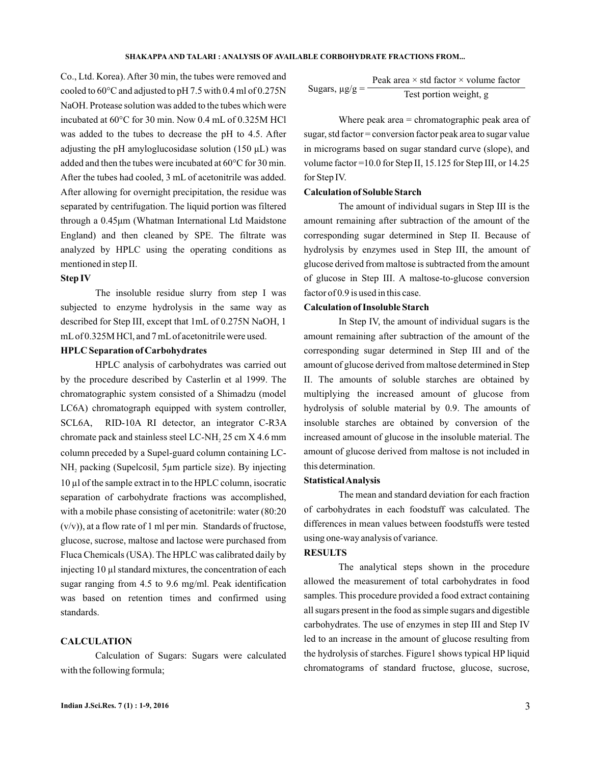Co., Ltd. Korea). After 30 min, the tubes were removed and cooled to 60°C and adjusted to pH 7.5 with 0.4 ml of 0.275N NaOH. Protease solution was added to the tubes which were was added to the tubes to decrease the pH to 4.5. After adjusting the pH amyloglucosidase solution (150 μL) was added and then the tubes were incuba ted at 60°C for 30 min. through a 0.45μm (Whatman International Ltd Maidstone incubated at 60°C for 30 min. Now 0.4 mL of 0.325M HCl After the tubes had cooled, 3 mL of acetonitrile was added. After allowing for overnight precipitation, the residue was separated by centrifugation. The liquid portion was filtered England) and then cleaned by SPE. The filtrate was analyzed by HPLC using the operating conditions as mentioned in step II.

#### **Step IV**

The insoluble residue slurry from step I was subjected to enzyme hydrolysis in the same way as described for Step III, except that 1mL of 0.275N NaOH, 1 mL of 0.325M HCl, and 7 mL of acetonitrile were used.

## **HPLC Separation of Carbohydrates**

HPLC analysis of carbohydrates was carried out by the procedure described by Casterlin et al 1999. The chromatographic system consisted of a Shimadzu (model LC6A) chromatograph equipped with system controller, SCL6A, RID-10A RI detector, an integrator C-R3A chromate pack and stainless steel LC-NH<sub>2</sub> 25 cm X 4.6 mm column preceded by a Supel-guard column containing LC-NH<sub>2</sub> packing (Supelcosil, 5µm particle size). By injecting 10 µl of the sample extract in to the HPLC column, isocratic separation of carbohydrate fractions was accomplished, with a mobile phase consisting of acetonitrile: water (80:20  $(v/v)$ , at a flow rate of 1 ml per min. Standards of fructose, glucose, sucrose, maltose and lactose were purchased from Fluca Chemicals (USA). The HPLC was calibrated daily by injecting 10 µl standard mixtures, the concentration of each sugar ranging from 4.5 to 9.6 mg/ml. Peak identification was based on retention times and confirmed using standards.

## **CALCULATION**

Calculation of Sugars: Sugars were calculated with the following formula;

Sugars, 
$$
\mu g/g = \frac{\text{Peak area} \times \text{std factor} \times \text{volume factor}}{\text{Test portion weight, g}}
$$

Where peak area = chromatographic peak area of sugar, std factor = conversion factor peak area to sugar value in micrograms based on sugar standard curve (slope), and volume factor =10.0 for Step II, 15.125 for Step III, or 14.25 for Step IV.

### **Calculation of Soluble Starch**

The amount of individual sugars in Step III is the amount remaining after subtraction of the amount of the corresponding sugar determined in Step II. Because of hydrolysis by enzymes used in Step III, the amount of glucose derived from maltose is subtracted from the amount of glucose in Step III. A maltose-to-glucose conversion factor of 0.9 is used in this case.

## **Calculation of Insoluble Starch**

In Step IV, the amount of individual sugars is the amount remaining after subtraction of the amount of the corresponding sugar determined in Step III and of the amount of glucose derived from maltose determined in Step II. The amounts of soluble starches are obtained by multiplying the increased amount of glucose from hydrolysis of soluble material by 0.9. The amounts of insoluble starches are obtained by conversion of the increased amount of glucose in the insoluble material. The amount of glucose derived from maltose is not included in this determination.

#### **StatisticalAnalysis**

The mean and standard deviation for each fraction of carbohydrates in each foodstuff was calculated. The differences in mean values between foodstuffs were tested using one-way analysis of variance.

#### **RESULTS**

The analytical steps shown in the procedure allowed the measurement of total carbohydrates in food samples. This procedure provided a food extract containing all sugars present in the food as simple sugars and digestible carbohydrates. The use of enzymes in step III and Step IV led to an increase in the amount of glucose resulting from the hydrolysis of starches. Figure1 shows typical HP liquid chromatograms of standard fructose, glucose, sucrose,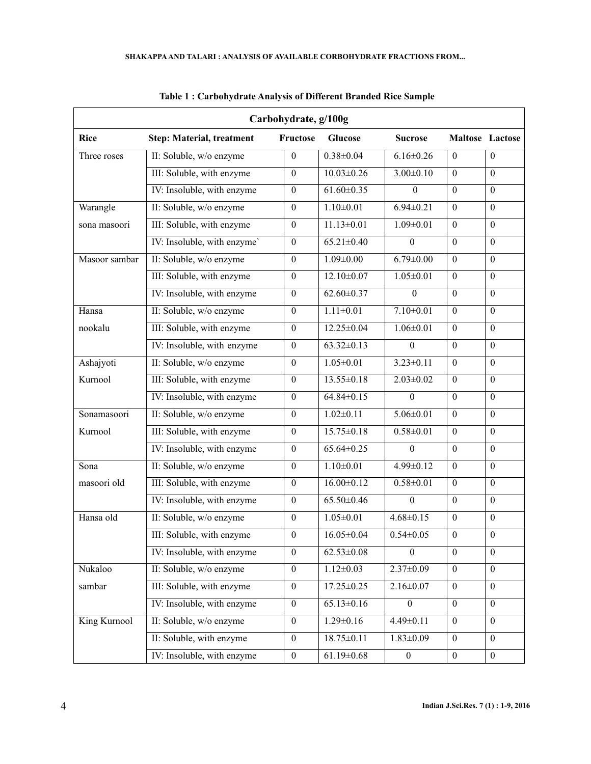| Carbohydrate, g/100g |                                  |                  |                  |                  |                  |                  |
|----------------------|----------------------------------|------------------|------------------|------------------|------------------|------------------|
| <b>Rice</b>          | <b>Step: Material, treatment</b> | Fructose         | <b>Glucose</b>   | <b>Sucrose</b>   |                  | Maltose Lactose  |
| Three roses          | II: Soluble, w/o enzyme          | $\theta$         | $0.38 \pm 0.04$  | $6.16 \pm 0.26$  | $\mathbf{0}$     | $\theta$         |
|                      | III: Soluble, with enzyme        | $\boldsymbol{0}$ | $10.03 \pm 0.26$ | $3.00 \pm 0.10$  | $\mathbf{0}$     | $\mathbf{0}$     |
|                      | IV: Insoluble, with enzyme       | $\boldsymbol{0}$ | $61.60 \pm 0.35$ | $\theta$         | $\overline{0}$   | $\mathbf{0}$     |
| Warangle             | II: Soluble, w/o enzyme          | $\boldsymbol{0}$ | $1.10 \pm 0.01$  | $6.94 \pm 0.21$  | $\theta$         | $\boldsymbol{0}$ |
| sona masoori         | III: Soluble, with enzyme        | $\boldsymbol{0}$ | $11.13 \pm 0.01$ | $1.09 \pm 0.01$  | $\boldsymbol{0}$ | $\boldsymbol{0}$ |
|                      | IV: Insoluble, with enzyme'      | $\boldsymbol{0}$ | $65.21 \pm 0.40$ | $\Omega$         | $\mathbf{0}$     | $\mathbf{0}$     |
| Masoor sambar        | II: Soluble, w/o enzyme          | $\boldsymbol{0}$ | $1.09 \pm 0.00$  | $6.79 \pm 0.00$  | $\boldsymbol{0}$ | $\boldsymbol{0}$ |
|                      | III: Soluble, with enzyme        | $\boldsymbol{0}$ | $12.10 \pm 0.07$ | $1.05 \pm 0.01$  | $\boldsymbol{0}$ | $\boldsymbol{0}$ |
|                      | IV: Insoluble, with enzyme       | $\boldsymbol{0}$ | $62.60 \pm 0.37$ | $\boldsymbol{0}$ | $\mathbf{0}$     | $\boldsymbol{0}$ |
| Hansa                | II: Soluble, w/o enzyme          | $\boldsymbol{0}$ | $1.11 \pm 0.01$  | $7.10 \pm 0.01$  | $\boldsymbol{0}$ | $\boldsymbol{0}$ |
| nookalu              | III: Soluble, with enzyme        | $\boldsymbol{0}$ | 12.25±0.04       | $1.06 \pm 0.01$  | $\boldsymbol{0}$ | $\boldsymbol{0}$ |
|                      | IV: Insoluble, with enzyme       | $\boldsymbol{0}$ | $63.32 \pm 0.13$ | $\Omega$         | $\boldsymbol{0}$ | $\boldsymbol{0}$ |
| Ashajyoti            | II: Soluble, w/o enzyme          | $\boldsymbol{0}$ | $1.05 \pm 0.01$  | $3.23 \pm 0.11$  | $\mathbf{0}$     | $\boldsymbol{0}$ |
| Kurnool              | III: Soluble, with enzyme        | $\boldsymbol{0}$ | 13.55±0.18       | $2.03 \pm 0.02$  | $\mathbf{0}$     | $\boldsymbol{0}$ |
|                      | IV: Insoluble, with enzyme       | $\boldsymbol{0}$ | $64.84 \pm 0.15$ | $\theta$         | $\mathbf{0}$     | $\boldsymbol{0}$ |
| Sonamasoori          | II: Soluble, w/o enzyme          | $\boldsymbol{0}$ | $1.02 \pm 0.11$  | $5.06 \pm 0.01$  | $\theta$         | $\boldsymbol{0}$ |
| Kurnool              | III: Soluble, with enzyme        | $\boldsymbol{0}$ | $15.75 \pm 0.18$ | $0.58 \pm 0.01$  | $\boldsymbol{0}$ | $\boldsymbol{0}$ |
|                      | IV: Insoluble, with enzyme       | $\boldsymbol{0}$ | $65.64 \pm 0.25$ | $\Omega$         | $\theta$         | $\boldsymbol{0}$ |
| Sona                 | II: Soluble, w/o enzyme          | $\boldsymbol{0}$ | $1.10 \pm 0.01$  | $4.99 \pm 0.12$  | $\mathbf{0}$     | $\boldsymbol{0}$ |
| masoori old          | III: Soluble, with enzyme        | $\boldsymbol{0}$ | $16.00 \pm 0.12$ | $0.58 \pm 0.01$  | $\mathbf{0}$     | $\boldsymbol{0}$ |
|                      | IV: Insoluble, with enzyme       | $\boldsymbol{0}$ | $65.50 \pm 0.46$ | $\theta$         | $\boldsymbol{0}$ | $\boldsymbol{0}$ |
| Hansa old            | II: Soluble, w/o enzyme          | $\boldsymbol{0}$ | $1.05 \pm 0.01$  | $4.68 \pm 0.15$  | $\theta$         | $\boldsymbol{0}$ |
|                      | III: Soluble, with enzyme        | $\boldsymbol{0}$ | $16.05 \pm 0.04$ | $0.54 \pm 0.05$  | $\bf{0}$         | $\boldsymbol{0}$ |
|                      | IV: Insoluble, with enzyme       | $\boldsymbol{0}$ | $62.53 \pm 0.08$ | $\theta$         | $\mathbf{0}$     | $\boldsymbol{0}$ |
| Nukaloo              | II: Soluble, w/o enzyme          | $\boldsymbol{0}$ | $1.12 \pm 0.03$  | $2.37 \pm 0.09$  | $\boldsymbol{0}$ | $\boldsymbol{0}$ |
| sambar               | III: Soluble, with enzyme        | $\boldsymbol{0}$ | $17.25 \pm 0.25$ | $2.16 \pm 0.07$  | $\boldsymbol{0}$ | $\boldsymbol{0}$ |
|                      | IV: Insoluble, with enzyme       | $\boldsymbol{0}$ | $65.13 \pm 0.16$ | $\theta$         | $\boldsymbol{0}$ | $\boldsymbol{0}$ |
| King Kurnool         | II: Soluble, w/o enzyme          | $\boldsymbol{0}$ | $1.29 \pm 0.16$  | $4.49 \pm 0.11$  | $\boldsymbol{0}$ | $\boldsymbol{0}$ |
|                      | II: Soluble, with enzyme         | $\boldsymbol{0}$ | $18.75 \pm 0.11$ | $1.83 \pm 0.09$  | $\mathbf{0}$     | $\boldsymbol{0}$ |
|                      | IV: Insoluble, with enzyme       | $\boldsymbol{0}$ | $61.19 \pm 0.68$ | $\boldsymbol{0}$ | $\boldsymbol{0}$ | $\boldsymbol{0}$ |

**Table 1 : Carbohydrate Analysis of Different Branded Rice Sample**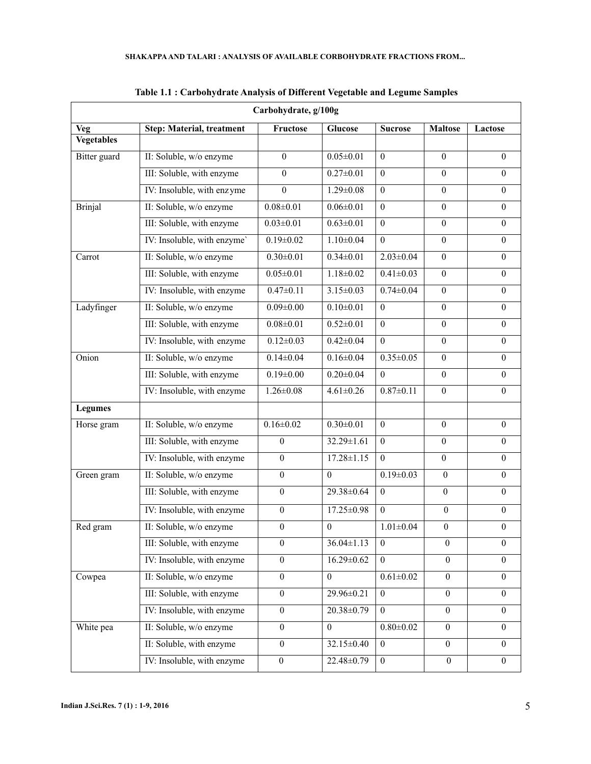| Carbohydrate, g/100g |                                  |                  |                  |                  |                  |                  |
|----------------------|----------------------------------|------------------|------------------|------------------|------------------|------------------|
| Veg                  | <b>Step: Material, treatment</b> | Fructose         | <b>Glucose</b>   | <b>Sucrose</b>   | <b>Maltose</b>   | Lactose          |
| <b>Vegetables</b>    |                                  |                  |                  |                  |                  |                  |
| Bitter guard         | II: Soluble, w/o enzyme          | $\theta$         | $0.05 \pm 0.01$  | $\theta$         | $\theta$         | $\theta$         |
|                      | III: Soluble, with enzyme        | $\theta$         | $0.27 \pm 0.01$  | $\theta$         | $\theta$         | $\theta$         |
|                      | IV: Insoluble, with enzyme       | $\theta$         | $1.29 \pm 0.08$  | $\mathbf{0}$     | $\mathbf{0}$     | $\boldsymbol{0}$ |
| <b>Brinjal</b>       | II: Soluble, w/o enzyme          | $0.08 \pm 0.01$  | $0.06 \pm 0.01$  | $\boldsymbol{0}$ | $\overline{0}$   | $\mathbf{0}$     |
|                      | III: Soluble, with enzyme        | $0.03 \pm 0.01$  | $0.63 \pm 0.01$  | $\theta$         | $\theta$         | $\theta$         |
|                      | IV: Insoluble, with enzyme'      | $0.19 \pm 0.02$  | $1.10 \pm 0.04$  | $\theta$         | $\overline{0}$   | $\mathbf{0}$     |
| Carrot               | II: Soluble, w/o enzyme          | $0.30 \pm 0.01$  | $0.34 \pm 0.01$  | $2.03 \pm 0.04$  | $\overline{0}$   | $\Omega$         |
|                      | III: Soluble, with enzyme        | $0.05 \pm 0.01$  | $1.18 \pm 0.02$  | $0.41 \pm 0.03$  | $\mathbf{0}$     | $\boldsymbol{0}$ |
|                      | IV: Insoluble, with enzyme       | $0.47 \pm 0.11$  | $3.15 \pm 0.03$  | $0.74 \pm 0.04$  | $\theta$         | $\theta$         |
| Ladyfinger           | II: Soluble, w/o enzyme          | $0.09 \pm 0.00$  | $0.10 \pm 0.01$  | $\mathbf{0}$     | $\mathbf{0}$     | $\mathbf{0}$     |
|                      | III: Soluble, with enzyme        | $0.08 \pm 0.01$  | $0.52 \pm 0.01$  | $\theta$         | $\overline{0}$   | $\theta$         |
|                      | IV: Insoluble, with enzyme       | $0.12 \pm 0.03$  | $0.42 \pm 0.04$  | $\theta$         | $\theta$         | $\theta$         |
| Onion                | II: Soluble, w/o enzyme          | $0.14 \pm 0.04$  | $0.16 \pm 0.04$  | $0.35 \pm 0.05$  | $\overline{0}$   | $\mathbf{0}$     |
|                      | III: Soluble, with enzyme        | $0.19 \pm 0.00$  | $0.20 \pm 0.04$  | $\theta$         | $\theta$         | $\theta$         |
|                      | IV: Insoluble, with enzyme       | $1.26 \pm 0.08$  | $4.61 \pm 0.26$  | $0.87 \pm 0.11$  | $\theta$         | $\mathbf{0}$     |
| <b>Legumes</b>       |                                  |                  |                  |                  |                  |                  |
| Horse gram           | II: Soluble, w/o enzyme          | $0.16 \pm 0.02$  | $0.30 \pm 0.01$  | $\mathbf{0}$     | $\theta$         | $\theta$         |
|                      | III: Soluble, with enzyme        | 0                | 32.29±1.61       | $\theta$         | $\overline{0}$   | $\theta$         |
|                      | IV: Insoluble, with enzyme       | $\overline{0}$   | $17.28 \pm 1.15$ | $\theta$         | $\theta$         | $\mathbf{0}$     |
| Green gram           | II: Soluble, w/o enzyme          | $\boldsymbol{0}$ | $\theta$         | $0.19 \pm 0.03$  | $\boldsymbol{0}$ | $\boldsymbol{0}$ |
|                      | III: Soluble, with enzyme        | $\boldsymbol{0}$ | 29.38±0.64       | $\theta$         | $\mathbf{0}$     | $\theta$         |
|                      | IV: Insoluble, with enzyme       | $\boldsymbol{0}$ | 17.25±0.98       | $\theta$         | $\boldsymbol{0}$ | $\boldsymbol{0}$ |
| Red gram             | II: Soluble, w/o enzyme          | $\boldsymbol{0}$ | $\boldsymbol{0}$ | $1.01 \pm 0.04$  | $\boldsymbol{0}$ | $\boldsymbol{0}$ |
|                      | III: Soluble, with enzyme        | 0                | $36.04 \pm 1.13$ | $\theta$         | $\theta$         | $\theta$         |
|                      | IV: Insoluble, with enzyme       | $\boldsymbol{0}$ | $16.29 \pm 0.62$ | $\mathbf{0}$     | $\boldsymbol{0}$ | $\mathbf{0}$     |
| Cowpea               | II: Soluble, w/o enzyme          | $\overline{0}$   | $\Omega$         | $0.61 \pm 0.02$  | $\boldsymbol{0}$ | $\overline{0}$   |
|                      | III: Soluble, with enzyme        | $\boldsymbol{0}$ | 29.96±0.21       | $\boldsymbol{0}$ | $\boldsymbol{0}$ | $\mathbf{0}$     |
|                      | IV: Insoluble, with enzyme       | $\boldsymbol{0}$ | 20.38±0.79       | $\theta$         | $\theta$         | $\theta$         |
| White pea            | II: Soluble, w/o enzyme          | $\boldsymbol{0}$ | $\overline{0}$   | $0.80{\pm}0.02$  | $\theta$         | $\boldsymbol{0}$ |
|                      | II: Soluble, with enzyme         | $\boldsymbol{0}$ | 32.15±0.40       | $\boldsymbol{0}$ | $\boldsymbol{0}$ | $\boldsymbol{0}$ |
|                      | IV: Insoluble, with enzyme       | $\boldsymbol{0}$ | 22.48±0.79       | $\mathbf{0}$     | $\boldsymbol{0}$ | $\boldsymbol{0}$ |

**Table 1.1 : Carbohydrate Analysis of Different Vegetable and Legume Samples**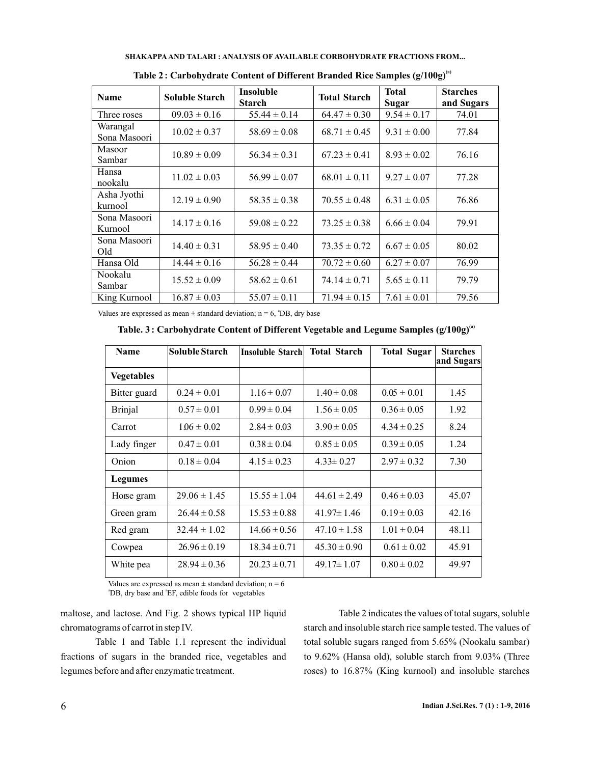| SHAKAPPA AND TALARI : ANALYSIS OF AVAILABLE CORBOHYDRATE FRACTIONS FROM |
|-------------------------------------------------------------------------|
|-------------------------------------------------------------------------|

| <b>Name</b>              | <b>Soluble Starch</b> | <b>Insoluble</b><br><b>Starch</b> | <b>Total Starch</b> | <b>Total</b><br>Sugar | <b>Starches</b><br>and Sugars |
|--------------------------|-----------------------|-----------------------------------|---------------------|-----------------------|-------------------------------|
| Three roses              | $09.03 \pm 0.16$      | $55.44 \pm 0.14$                  | $64.47 \pm 0.30$    | $9.54 \pm 0.17$       | 74.01                         |
| Warangal<br>Sona Masoori | $10.02 \pm 0.37$      | $58.69 \pm 0.08$                  | $68.71 \pm 0.45$    | $9.31 \pm 0.00$       | 77.84                         |
| Masoor<br>Sambar         | $10.89 \pm 0.09$      | $56.34 \pm 0.31$                  | $67.23 \pm 0.41$    | $8.93 \pm 0.02$       | 76.16                         |
| Hansa<br>nookalu         | $11.02 \pm 0.03$      | $56.99 \pm 0.07$                  | $68.01 \pm 0.11$    | $9.27 \pm 0.07$       | 77.28                         |
| Asha Jyothi<br>kurnool   | $12.19 \pm 0.90$      | $58.35 \pm 0.38$                  | $70.55 \pm 0.48$    | $6.31 \pm 0.05$       | 76.86                         |
| Sona Masoori<br>Kurnool  | $14.17 \pm 0.16$      | $59.08 \pm 0.22$                  | $73.25 \pm 0.38$    | $6.66 \pm 0.04$       | 79.91                         |
| Sona Masoori<br>Old      | $14.40 \pm 0.31$      | $58.95 \pm 0.40$                  | $73.35 \pm 0.72$    | $6.67 \pm 0.05$       | 80.02                         |
| Hansa Old                | $14.44 \pm 0.16$      | $56.28 \pm 0.44$                  | $70.72 \pm 0.60$    | $6.27 \pm 0.07$       | 76.99                         |
| Nookalu<br>Sambar        | $15.52 \pm 0.09$      | $58.62 \pm 0.61$                  | $74.14 \pm 0.71$    | $5.65 \pm 0.11$       | 79.79                         |
| King Kurnool             | $16.87 \pm 0.03$      | $55.07 \pm 0.11$                  | $71.94 \pm 0.15$    | $7.61 \pm 0.01$       | 79.56                         |

**Table 2: Carbohydrate Content of Different Branded Rice Samples (g/100g)(a)**

Values are expressed as mean  $\pm$  standard deviation; n = 6,  $^{\circ}$ DB, dry base

**Table. 3 Carbohydrate Content of Different Vegetable and Legume Samples (g/100g)(a) :**

| <b>Name</b>       | Soluble Starch   | Insoluble Starch | <b>Total Starch</b> | <b>Total Sugar</b> | <b>Starches</b><br>and Sugars |
|-------------------|------------------|------------------|---------------------|--------------------|-------------------------------|
| <b>Vegetables</b> |                  |                  |                     |                    |                               |
| Bitter guard      | $0.24 \pm 0.01$  | $1.16 \pm 0.07$  | $1.40 \pm 0.08$     | $0.05 \pm 0.01$    | 1.45                          |
| Brinjal           | $0.57 \pm 0.01$  | $0.99 \pm 0.04$  | $1.56 \pm 0.05$     | $0.36 \pm 0.05$    | 1.92                          |
| Carrot            | $106 \pm 0.02$   | $2.84 \pm 0.03$  | $3.90 \pm 0.05$     | $4.34 \pm 0.25$    | 8.24                          |
| Lady finger       | $0.47 \pm 0.01$  | $0.38 \pm 0.04$  | $0.85 \pm 0.05$     | $0.39 \pm 0.05$    | 1.24                          |
| Onion             | $0.18 \pm 0.04$  | $4.15 \pm 0.23$  | $4.33 \pm 0.27$     | $2.97 \pm 0.32$    | 7.30                          |
| <b>Legumes</b>    |                  |                  |                     |                    |                               |
| Horse gram        | $29.06 \pm 1.45$ | $15.55 \pm 1.04$ | $44.61 \pm 2.49$    | $0.46 \pm 0.03$    | 45.07                         |
| Green gram        | $26.44 \pm 0.58$ | $15.53 \pm 0.88$ | $41.97 \pm 1.46$    | $0.19 \pm 0.03$    | 42.16                         |
| Red gram          | $32.44 \pm 1.02$ | $14.66 \pm 0.56$ | $47.10 \pm 1.58$    | $1.01 \pm 0.04$    | 48.11                         |
| Cowpea            | $26.96 \pm 0.19$ | $18.34 \pm 0.71$ | $45.30 \pm 0.90$    | $0.61 \pm 0.02$    | 45.91                         |
| White pea         | $28.94 \pm 0.36$ | $20.23 \pm 0.71$ | $49.17 \pm 1.07$    | $0.80 \pm 0.02$    | 49.97                         |

Values are expressed as mean  $\pm$  standard deviation; n = 6 <sup>a</sup>DB, dry base and <sup>a</sup>EF, edible foods for vegetables

maltose, and lactose. And Fig. 2 shows typical HP liquid chromatograms of carrot in step IV.

Table 1 and Table 1.1 represent the individual fractions of sugars in the branded rice, vegetables and legumes before and after enzymatic treatment.

Table 2 indicates the values of total sugars, soluble starch and insoluble starch rice sample tested. The values of total soluble sugars ranged from 5.65% (Nookalu sambar) to 9.62% (Hansa old), soluble starch from 9.03% (Three roses) to 16.87% (King kurnool) and insoluble starches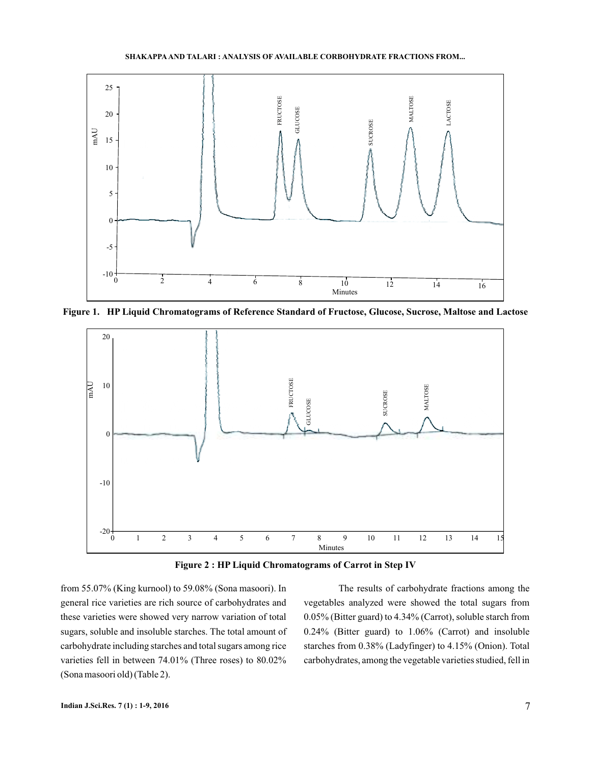**SHAKAPPA TALARI AND : ANALYSIS OF AVAILABLE CORBOHYDRATE FRACTIONS FROM...**



**Figure 1. HP Liquid Chromatograms of Reference Standard of Fructose, Glucose, Sucrose, Maltose and Lactose**



**Figure 2 : HP Liquid Chromatograms of Carrot in Step IV**

from 55.07% (King kurnool) to 59.08% (Sona masoori). In general rice varieties are rich source of carbohydrates and these varieties were showed very narrow variation of total sugars, soluble and insoluble starches. The total amount of carbohydrate including starches and total sugars among rice varieties fell in between 74.01% (Three roses) to 80.02% (Sona masoori old) (Table 2).

The results of carbohydrate fractions among the vegetables analyzed were showed the total sugars from 0.05% (Bitter guard) to 4.34% (Carrot), soluble starch from 0.24% (Bitter guard) to 1.06% (Carrot) and insoluble starches from 0.38% (Ladyfinger) to 4.15% (Onion). Total carbohydrates, among the vegetable varieties studied, fell in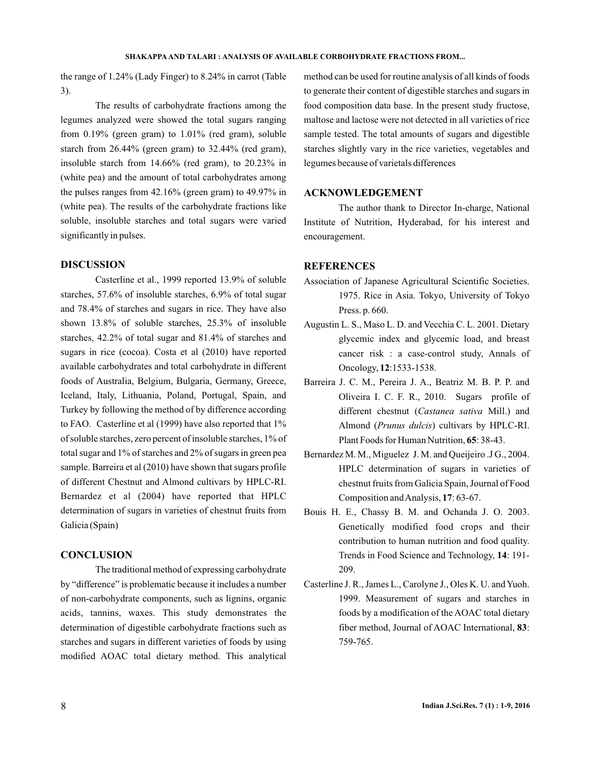the range of 1.24% (Lady Finger) to 8.24% in carrot (Table 3).

The results of carbohydrate fractions among the legumes analyzed were showed the total sugars ranging from 0.19% (green gram) to 1.01% (red gram), soluble starch from 26.44% (green gram) to 32.44% (red gram), insoluble starch from 14.66% (red gram), to 20.23% in (white pea) and the amount of total carbohydrates among the pulses ranges from 42.16% (green gram) to 49.97% in (white pea). The results of the carbohydrate fractions like soluble, insoluble starches and total sugars were varied significantly in pulses.

## **DISCUSSION**

Casterline et al., 1999 reported 13.9% of soluble starches, 57.6% of insoluble starches, 6.9% of total sugar and 78.4% of starches and sugars in rice. They have also shown 13.8% of soluble starches, 25.3% of insoluble starches, 42.2% of total sugar and 81.4% of starches and sugars in rice (cocoa). Costa et al (2010) have reported available carbohydrates and total carbohydrate in different foods of Australia, Belgium, Bulgaria, Germany, Greece, Iceland, Italy, Lithuania, Poland, Portugal, Spain, and Turkey by following the method of by difference according to FAO. Casterline et al (1999) have also reported that 1% of soluble starches, zero percent of insoluble starches, 1% of total sugar and 1% of starches and 2% of sugars in green pea sample. Barreira et al (2010) have shown that sugars profile of different Chestnut and Almond cultivars by HPLC-RI. Bernardez et al (2004) have reported that HPLC determination of sugars in varieties of chestnut fruits from Galicia (Spain)

### **CONCLUSION**

The traditional method of expressing carbohydrate by "difference" is problematic because it includes a number of non-carbohydrate components, such as lignins, organic acids, tannins, waxes. This study demonstrates the determination of digestible carbohydrate fractions such as starches and sugars in different varieties of foods by using modified AOAC total dietary method. This analytical

method can be used for routine analysis of all kinds of foods to generate their content of digestible starches and sugars in food composition data base. In the present study fructose, maltose and lactose were not detected in all varieties of rice sample tested. The total amounts of sugars and digestible starches slightly vary in the rice varieties, vegetables and legumes because of varietals differences

## **ACKNOWLEDGEMENT**

The author thank to Director In-charge, National Institute of Nutrition, Hyderabad, for his interest and encouragement.

#### **REFERENCES**

- Association of Japanese Agricultural Scientific Societies. 1975. Rice in Asia. Tokyo, University of Tokyo Press. p. 660.
- Augustin L. S., Maso L. D. and Vecchia C. L. 2001. Dietary glycemic index and glycemic load, and breast cancer risk : a case-control study, Annals of Oncology, 12:1533-1538.
- Barreira J. C. M., Pereira J. A., Beatriz M. B. P. P. and Oliveira I. C. F. R., 2010. Sugars profile of different chestnut (Castanea sativa Mill.) and Almond (Prunus dulcis) cultivars by HPLC-RI. Plant Foods for Human Nutrition, 65: 38-43.
- Bernardez M. M., Miguelez J. M. and Queijeiro .J G., 2004. HPLC determination of sugars in varieties of chestnut fruits from Galicia Spain, Journal of Food Composition and Analysis, 17:63-67.
- Bouis H. E., Chassy B. M. and Ochanda J. O. 2003. Genetically modified food crops and their contribution to human nutrition and food quality. Trends in Food Science and Technology, 14: 191-209.
- Casterline J. R., James L., Carolyne J., Oles K. U. and Yuoh. 1999. Measurement of sugars and starches in foods by a modification of the AOAC total dietary fiber method, Journal of AOAC International, 83: 759-765.